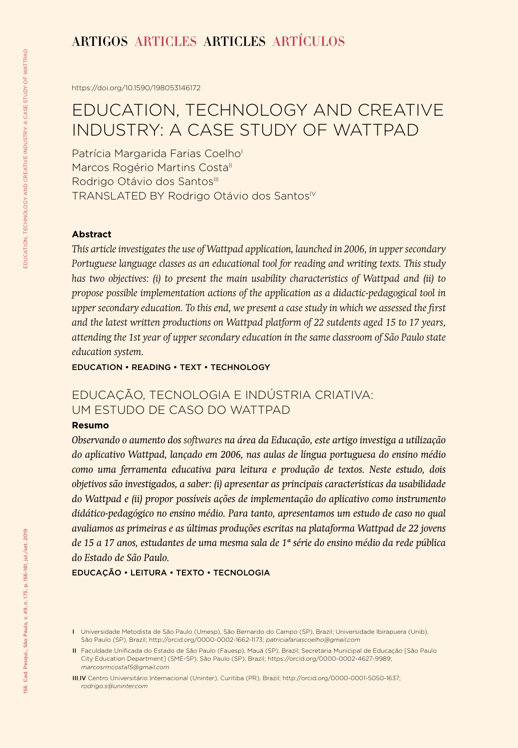## ARTIGOS ARTICLES ARTICLES ARTÍCULOS

<https://doi.org/10.1590/198053146172>

# EDUCATION, TECHNOLOGY AND CREATIVE INDUSTRY: A CASE STUDY OF WATTPAD

Patrícia Margarida Farias Coelho Marcos Rogério Martins Costall Rodrigo Otávio dos Santos<sup>III</sup> TRANSLATED BY Rodrigo Otávio dos Santos<sup>IV</sup>

#### **Abstract**

*This article investigates the use of Wattpad application, launched in 2006, in upper secondary Portuguese language classes as an educational tool for reading and writing texts. This study has two objectives: (i) to present the main usability characteristics of Wattpad and (ii) to propose possible implementation actions of the application as a didactic-pedagogical tool in upper secondary education. To this end, we present a case study in which we assessed the first and the latest written productions on Wattpad platform of 22 sutdents aged 15 to 17 years, attending the 1st year of upper secondary education in the same classroom of São Paulo state education system.*

EDUCATION • READING • TEXT • TECHNOLOGY

## EDUCAÇÃO, TECNOLOGIA E INDÚSTRIA CRIATIVA: UM ESTUDO DE CASO DO WATTPAD

#### **Resumo**

*Observando o aumento dos softwares na área da Educação, este artigo investiga a utilização do aplicativo Wattpad, lançado em 2006, nas aulas de língua portuguesa do ensino médio como uma ferramenta educativa para leitura e produção de textos. Neste estudo, dois objetivos são investigados, a saber: (i) apresentar as principais características da usabilidade do Wattpad e (ii) propor possíveis ações de implementação do aplicativo como instrumento didático-pedagógico no ensino médio. Para tanto, apresentamos um estudo de caso no qual avaliamos as primeiras e as últimas produções escritas na plataforma Wattpad de 22 jovens de 15 a 17 anos, estudantes de uma mesma sala de 1ª série do ensino médio da rede pública do Estado de São Paulo.* 

EDUCAÇÃO • LEITURA • TEXTO • TECNOLOGIA

I Universidade Metodista de São Paulo (Umesp), São Bernardo do Campo (SP), Brazil; Universidade Ibirapuera (Unib), São Paulo (SP), Brazil; http://orcid.org/0000-0002-1662-1173; *patriciafariascoelho@gmail.com*

II Faculdade Unificada do Estado de São Paulo (Fauesp), Mauá (SP), Brazil; Secretaria Municipal de Educação [São Paulo City Education Department] (SME-SP), São Paulo (SP), Brazil; https://orcid.org/0000-0002-4627-9989; *marcosrmcosta15@gmail.com*

III,IV Centro Universitário Internacional (Uninter), Curitiba (PR), Brazil; http://orcid.org/0000-0001-5050-1637; *rodrigo.s@uninter.com*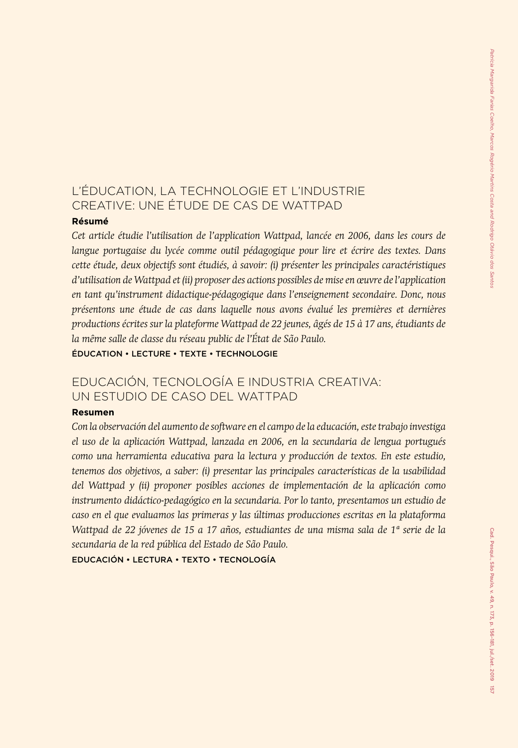## L'ÉDUCATION, LA TECHNOLOGIE ET L'INDUSTRIE CREATIVE: UNE ÉTUDE DE CAS DE WATTPAD

#### **Résumé**

*Cet article étudie l'utilisation de l'application Wattpad, lancée en 2006, dans les cours de langue portugaise du lycée comme outil pédagogique pour lire et écrire des textes. Dans cette étude, deux objectifs sont étudiés, à savoir: (i) présenter les principales caractéristiques d'utilisation de Wattpad et (ii) proposer des actions possibles de mise en œuvre de l'application en tant qu'instrument didactique-pédagogique dans l'enseignement secondaire. Donc, nous présentons une étude de cas dans laquelle nous avons évalué les premières et dernières productions écrites sur la plateforme Wattpad de 22 jeunes, âgés de 15 à 17 ans, étudiants de la même salle de classe du réseau public de l'État de São Paulo.*

ÉDUCATION • LECTURE • TEXTE • TECHNOLOGIE

## EDUCACIÓN, TECNOLOGÍA E INDUSTRIA CREATIVA: UN ESTUDIO DE CASO DEL WATTPAD

#### **Resumen**

*Con la observación del aumento de software en el campo de la educación, este trabajo investiga el uso de la aplicación Wattpad, lanzada en 2006, en la secundaria de lengua portugués como una herramienta educativa para la lectura y producción de textos. En este estudio, tenemos dos objetivos, a saber: (i) presentar las principales características de la usabilidad del Wattpad y (ii) proponer posibles acciones de implementación de la aplicación como instrumento didáctico-pedagógico en la secundaria. Por lo tanto, presentamos un estudio de caso en el que evaluamos las primeras y las últimas producciones escritas en la plataforma Wattpad de 22 jóvenes de 15 a 17 años, estudiantes de una misma sala de 1ª serie de la secundaria de la red pública del Estado de São Paulo.*

EDUCACIÓN • LECTURA • TEXTO • TECNOLOGÍA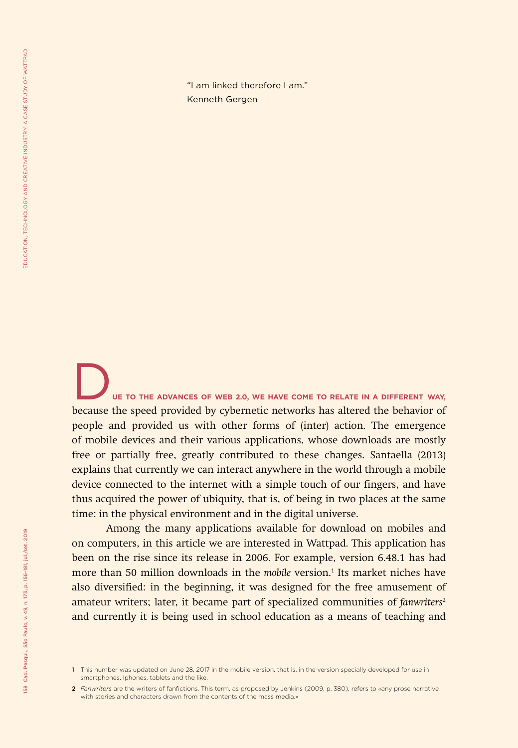"I am linked therefore I am." Kenneth Gergen

D**UE TO THE ADVANCES OF WEB 2.0, WE HAVE COME TO RELATE IN A DIFFERENT WAY,**  because the speed provided by cybernetic networks has altered the behavior of people and provided us with other forms of (inter) action. The emergence of mobile devices and their various applications, whose downloads are mostly free or partially free, greatly contributed to these changes. Santaella (2013) explains that currently we can interact anywhere in the world through a mobile device connected to the internet with a simple touch of our fingers, and have thus acquired the power of ubiquity, that is, of being in two places at the same time: in the physical environment and in the digital universe.

Among the many applications available for download on mobiles and on computers, in this article we are interested in Wattpad. This application has been on the rise since its release in 2006. For example, version 6.48.1 has had more than 50 million downloads in the *mobile* version.<sup>1</sup> Its market niches have also diversified: in the beginning, it was designed for the free amusement of amateur writers; later, it became part of specialized communities of *fanwriters<sup>2</sup>* and currently it is being used in school education as a means of teaching and

<sup>1</sup> This number was updated on June 28, 2017 in the mobile version, that is, in the version specially developed for use in smartphones, Iphones, tablets and the like.

<sup>2</sup> *Fanwriters* are the writers of fanfictions. This term, as proposed by Jenkins (2009, p. 380), refers to «any prose narrative with stories and characters drawn from the contents of the mass media.»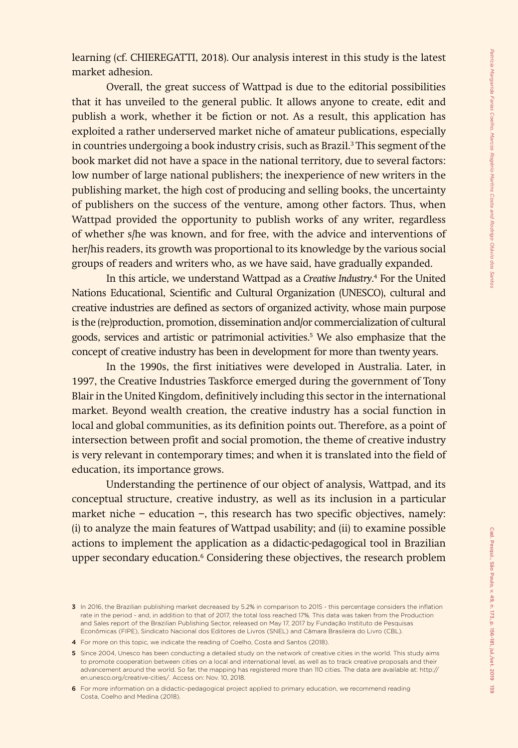learning (cf. CHIEREGATTI, 2018). Our analysis interest in this study is the latest market adhesion.

Overall, the great success of Wattpad is due to the editorial possibilities that it has unveiled to the general public. It allows anyone to create, edit and publish a work, whether it be fiction or not. As a result, this application has exploited a rather underserved market niche of amateur publications, especially in countries undergoing a book industry crisis, such as Brazil.3 This segment of the book market did not have a space in the national territory, due to several factors: low number of large national publishers; the inexperience of new writers in the publishing market, the high cost of producing and selling books, the uncertainty of publishers on the success of the venture, among other factors. Thus, when Wattpad provided the opportunity to publish works of any writer, regardless of whether s/he was known, and for free, with the advice and interventions of her/his readers, its growth was proportional to its knowledge by the various social groups of readers and writers who, as we have said, have gradually expanded.

In this article, we understand Wattpad as a *Creative Industry*. 4 For the United Nations Educational, Scientific and Cultural Organization (UNESCO), cultural and creative industries are defined as sectors of organized activity, whose main purpose is the (re)production, promotion, dissemination and/or commercialization of cultural goods, services and artistic or patrimonial activities.5 We also emphasize that the concept of creative industry has been in development for more than twenty years.

In the 1990s, the first initiatives were developed in Australia. Later, in 1997, the Creative Industries Taskforce emerged during the government of Tony Blair in the United Kingdom, definitively including this sector in the international market. Beyond wealth creation, the creative industry has a social function in local and global communities, as its definition points out. Therefore, as a point of intersection between profit and social promotion, the theme of creative industry is very relevant in contemporary times; and when it is translated into the field of education, its importance grows.

Understanding the pertinence of our object of analysis, Wattpad, and its conceptual structure, creative industry, as well as its inclusion in a particular market niche − education −, this research has two specific objectives, namely: (i) to analyze the main features of Wattpad usability; and (ii) to examine possible actions to implement the application as a didactic-pedagogical tool in Brazilian upper secondary education.<sup>6</sup> Considering these objectives, the research problem

<sup>3</sup> In 2016, the Brazilian publishing market decreased by 5.2% in comparison to 2015 - this percentage considers the inflation rate in the period - and, in addition to that of 2017, the total loss reached 17%. This data was taken from the Production and Sales report of the Brazilian Publishing Sector, released on May 17, 2017 by Fundação Instituto de Pesquisas Econômicas (FIPE), Sindicato Nacional dos Editores de Livros (SNEL) and Câmara Brasileira do Livro (CBL).

<sup>4</sup> For more on this topic, we indicate the reading of Coelho, Costa and Santos (2018).

<sup>5</sup> Since 2004, Unesco has been conducting a detailed study on the network of creative cities in the world. This study aims to promote cooperation between cities on a local and international level, as well as to track creative proposals and their advancement around the world. So far, the mapping has registered more than 110 cities. The data are available at: http:// en.unesco.org/creative-cities/. Access on: Nov. 10, 2018.

<sup>6</sup> For more information on a didactic-pedagogical project applied to primary education, we recommend reading Costa, Coelho and Medina (2018).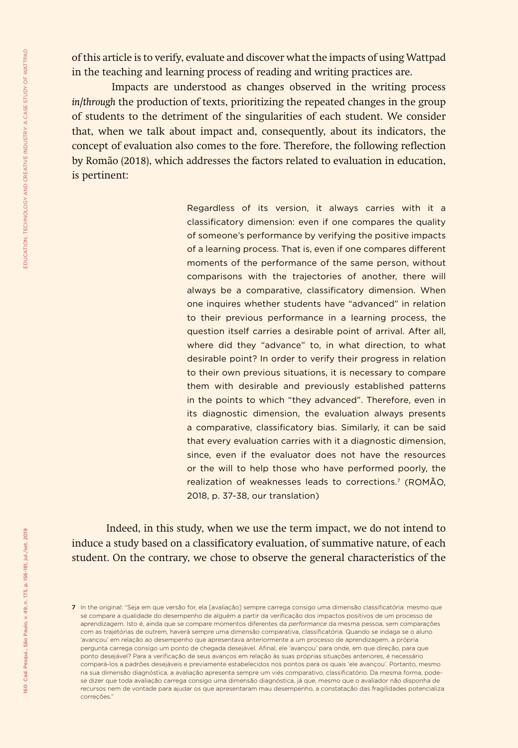of this article is to verify, evaluate and discover what the impacts of using Wattpad in the teaching and learning process of reading and writing practices are.

 Impacts are understood as changes observed in the writing process *in/through* the production of texts, prioritizing the repeated changes in the group of students to the detriment of the singularities of each student. We consider that, when we talk about impact and, consequently, about its indicators, the concept of evaluation also comes to the fore. Therefore, the following reflection by Romão (2018), which addresses the factors related to evaluation in education, is pertinent:

> Regardless of its version, it always carries with it a classificatory dimension: even if one compares the quality of someone's performance by verifying the positive impacts of a learning process. That is, even if one compares different moments of the performance of the same person, without comparisons with the trajectories of another, there will always be a comparative, classificatory dimension. When one inquires whether students have "advanced" in relation to their previous performance in a learning process, the question itself carries a desirable point of arrival. After all, where did they "advance" to, in what direction, to what desirable point? In order to verify their progress in relation to their own previous situations, it is necessary to compare them with desirable and previously established patterns in the points to which "they advanced". Therefore, even in its diagnostic dimension, the evaluation always presents a comparative, classificatory bias. Similarly, it can be said that every evaluation carries with it a diagnostic dimension, since, even if the evaluator does not have the resources or the will to help those who have performed poorly, the realization of weaknesses leads to corrections.<sup>7</sup> (ROMÃO, 2018, p. 37-38, our translation)

Indeed, in this study, when we use the term impact, we do not intend to induce a study based on a classificatory evaluation, of summative nature, of each student. On the contrary, we chose to observe the general characteristics of the

<sup>7</sup> In the original: "Seja em que versão for, ela [avaliação] sempre carrega consigo uma dimensão classificatória: mesmo que se compare a qualidade do desempenho de alguém a partir da verificação dos impactos positivos de um processo de aprendizagem. Isto é, ainda que se compare momentos diferentes da *performance* da mesma pessoa, sem comparações com as trajetórias de outrem, haverá sempre uma dimensão comparativa, classificatória. Quando se indaga se o aluno 'avançou' em relação ao desempenho que apresentava anteriormente a um processo de aprendizagem, a própria pergunta carrega consigo um ponto de chegada desejável. Afinal, ele 'avançou' para onde, em que direção, para que ponto desejável? Para a verificação de seus avanços em relação às suas próprias situações anteriores, é necessário compará-los a padrões desejáveis e previamente estabelecidos nos pontos para os quais 'ele avançou'. Portanto, mesmo na sua dimensão diagnóstica, a avaliação apresenta sempre um viés comparativo, classificatório. Da mesma forma, podese dizer que toda avaliação carrega consigo uma dimensão diagnóstica, já que, mesmo que o avaliador não disponha de recursos nem de vontade para ajudar os que apresentaram mau desempenho, a constatação das fragilidades potencializa correções."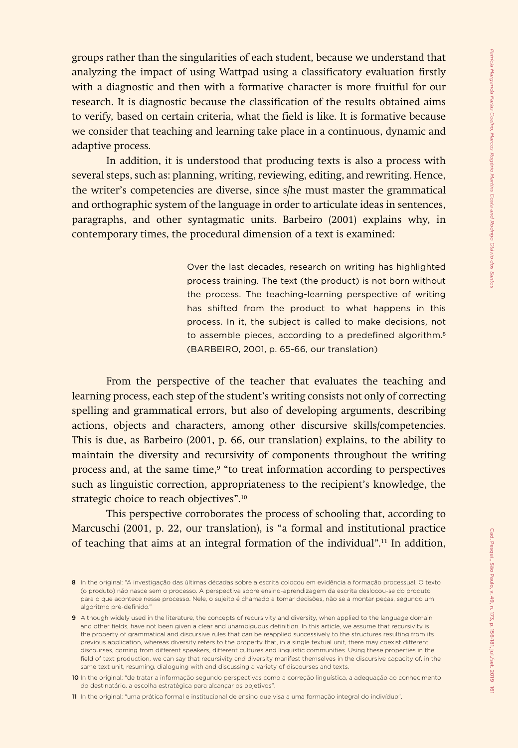groups rather than the singularities of each student, because we understand that analyzing the impact of using Wattpad using a classificatory evaluation firstly with a diagnostic and then with a formative character is more fruitful for our research. It is diagnostic because the classification of the results obtained aims to verify, based on certain criteria, what the field is like. It is formative because we consider that teaching and learning take place in a continuous, dynamic and adaptive process.

In addition, it is understood that producing texts is also a process with several steps, such as: planning, writing, reviewing, editing, and rewriting. Hence, the writer's competencies are diverse, since s/he must master the grammatical and orthographic system of the language in order to articulate ideas in sentences, paragraphs, and other syntagmatic units. Barbeiro (2001) explains why, in contemporary times, the procedural dimension of a text is examined:

> Over the last decades, research on writing has highlighted process training. The text (the product) is not born without the process. The teaching-learning perspective of writing has shifted from the product to what happens in this process. In it, the subject is called to make decisions, not to assemble pieces, according to a predefined algorithm.<sup>8</sup> (BARBEIRO, 2001, p. 65-66, our translation)

From the perspective of the teacher that evaluates the teaching and learning process, each step of the student's writing consists not only of correcting spelling and grammatical errors, but also of developing arguments, describing actions, objects and characters, among other discursive skills/competencies. This is due, as Barbeiro (2001, p. 66, our translation) explains, to the ability to maintain the diversity and recursivity of components throughout the writing process and, at the same time,<sup>9</sup> "to treat information according to perspectives such as linguistic correction, appropriateness to the recipient's knowledge, the strategic choice to reach objectives".<sup>10</sup>

This perspective corroborates the process of schooling that, according to Marcuschi (2001, p. 22, our translation), is "a formal and institutional practice of teaching that aims at an integral formation of the individual".11 In addition,

11 In the original: "uma prática formal e institucional de ensino que visa a uma formação integral do indivíduo".

<sup>8</sup> In the original: "A investigação das últimas décadas sobre a escrita colocou em evidência a formação processual. O texto (o produto) não nasce sem o processo. A perspectiva sobre ensino-aprendizagem da escrita deslocou-se do produto para o que acontece nesse processo. Nele, o sujeito é chamado a tomar decisões, não se a montar peças, segundo um algoritmo pré-definido."

<sup>9</sup> Although widely used in the literature, the concepts of recursivity and diversity, when applied to the language domain and other fields, have not been given a clear and unambiguous definition. In this article, we assume that recursivity is the property of grammatical and discursive rules that can be reapplied successively to the structures resulting from its previous application, whereas diversity refers to the property that, in a single textual unit, there may coexist different discourses, coming from different speakers, different cultures and linguistic communities. Using these properties in the field of text production, we can say that recursivity and diversity manifest themselves in the discursive capacity of, in the same text unit, resuming, dialoguing with and discussing a variety of discourses and texts.

<sup>10</sup> In the original: "de tratar a informação segundo perspectivas como a correção linguística, a adequação ao conhecimento do destinatário, a escolha estratégica para alcançar os objetivos".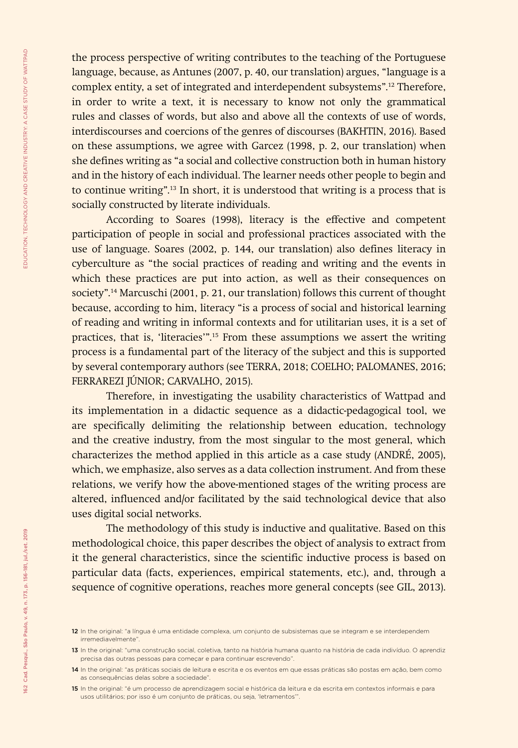the process perspective of writing contributes to the teaching of the Portuguese language, because, as Antunes (2007, p. 40, our translation) argues, "language is a complex entity, a set of integrated and interdependent subsystems".12 Therefore, in order to write a text, it is necessary to know not only the grammatical rules and classes of words, but also and above all the contexts of use of words, interdiscourses and coercions of the genres of discourses (BAKHTIN, 2016). Based on these assumptions, we agree with Garcez (1998, p. 2, our translation) when she defines writing as "a social and collective construction both in human history and in the history of each individual. The learner needs other people to begin and to continue writing".13 In short, it is understood that writing is a process that is socially constructed by literate individuals.

According to Soares (1998), literacy is the effective and competent participation of people in social and professional practices associated with the use of language. Soares (2002, p. 144, our translation) also defines literacy in cyberculture as "the social practices of reading and writing and the events in which these practices are put into action, as well as their consequences on society".14 Marcuschi (2001, p. 21, our translation) follows this current of thought because, according to him, literacy "is a process of social and historical learning of reading and writing in informal contexts and for utilitarian uses, it is a set of practices, that is, 'literacies'".15 From these assumptions we assert the writing process is a fundamental part of the literacy of the subject and this is supported by several contemporary authors (see TERRA, 2018; COELHO; PALOMANES, 2016; FERRAREZI JÚNIOR; CARVALHO, 2015).

Therefore, in investigating the usability characteristics of Wattpad and its implementation in a didactic sequence as a didactic-pedagogical tool, we are specifically delimiting the relationship between education, technology and the creative industry, from the most singular to the most general, which characterizes the method applied in this article as a case study (ANDRÉ, 2005), which, we emphasize, also serves as a data collection instrument. And from these relations, we verify how the above-mentioned stages of the writing process are altered, influenced and/or facilitated by the said technological device that also uses digital social networks.

The methodology of this study is inductive and qualitative. Based on this methodological choice, this paper describes the object of analysis to extract from it the general characteristics, since the scientific inductive process is based on particular data (facts, experiences, empirical statements, etc.), and, through a sequence of cognitive operations, reaches more general concepts (see GIL, 2013).

<sup>12</sup> In the original: "a língua é uma entidade complexa, um conjunto de subsistemas que se integram e se interdependem irremediavelmente".

<sup>13</sup> In the original: "uma construção social, coletiva, tanto na história humana quanto na história de cada indivíduo. O aprendiz precisa das outras pessoas para começar e para continuar escrevendo".

<sup>14</sup> In the original: "as práticas sociais de leitura e escrita e os eventos em que essas práticas são postas em ação, bem como as consequências delas sobre a sociedade".

<sup>15</sup> In the original: "é um processo de aprendizagem social e histórica da leitura e da escrita em contextos informais e para usos utilitários; por isso é um conjunto de práticas, ou seja, 'letramentos'".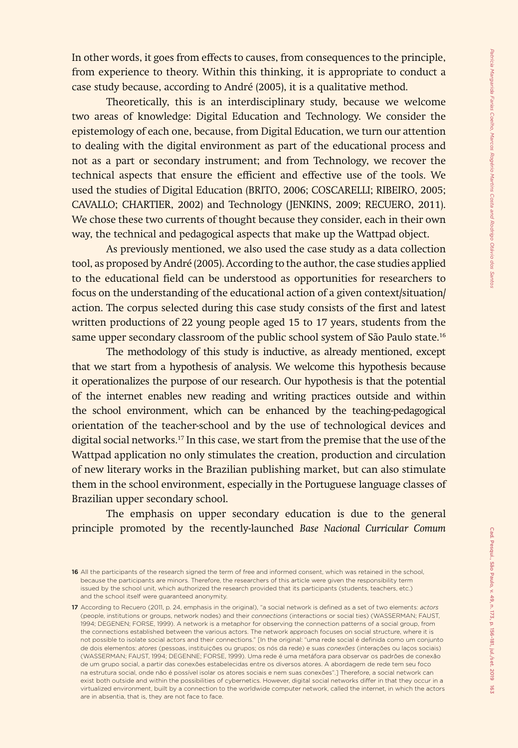In other words, it goes from effects to causes, from consequences to the principle, from experience to theory. Within this thinking, it is appropriate to conduct a case study because, according to André (2005), it is a qualitative method.

Theoretically, this is an interdisciplinary study, because we welcome two areas of knowledge: Digital Education and Technology. We consider the epistemology of each one, because, from Digital Education, we turn our attention to dealing with the digital environment as part of the educational process and not as a part or secondary instrument; and from Technology, we recover the technical aspects that ensure the efficient and effective use of the tools. We used the studies of Digital Education (BRITO, 2006; COSCARELLI; RIBEIRO, 2005; CAVALLO; CHARTIER, 2002) and Technology (JENKINS, 2009; RECUERO, 2011). We chose these two currents of thought because they consider, each in their own way, the technical and pedagogical aspects that make up the Wattpad object.

As previously mentioned, we also used the case study as a data collection tool, as proposed by André (2005). According to the author, the case studies applied to the educational field can be understood as opportunities for researchers to focus on the understanding of the educational action of a given context/situation/ action. The corpus selected during this case study consists of the first and latest written productions of 22 young people aged 15 to 17 years, students from the same upper secondary classroom of the public school system of São Paulo state.<sup>16</sup>

The methodology of this study is inductive, as already mentioned, except that we start from a hypothesis of analysis. We welcome this hypothesis because it operationalizes the purpose of our research. Our hypothesis is that the potential of the internet enables new reading and writing practices outside and within the school environment, which can be enhanced by the teaching-pedagogical orientation of the teacher-school and by the use of technological devices and digital social networks.<sup>17</sup> In this case, we start from the premise that the use of the Wattpad application no only stimulates the creation, production and circulation of new literary works in the Brazilian publishing market, but can also stimulate them in the school environment, especially in the Portuguese language classes of Brazilian upper secondary school.

The emphasis on upper secondary education is due to the general principle promoted by the recently-launched *Base Nacional Curricular Comum*

<sup>16</sup> All the participants of the research signed the term of free and informed consent, which was retained in the school, because the participants are minors. Therefore, the researchers of this article were given the responsibility term issued by the school unit, which authorized the research provided that its participants (students, teachers, etc.) and the school itself were guaranteed anonymity.

<sup>17</sup> According to Recuero (2011, p. 24, emphasis in the original), "a social network is defined as a set of two elements: *actors* (people, institutions or groups, network nodes) and their *connections* (interactions or social ties) (WASSERMAN; FAUST, 1994; DEGENEN; FORSE, 1999). A network is a metaphor for observing the connection patterns of a social group, from the connections established between the various actors. The network approach focuses on social structure, where it is not possible to isolate social actors and their connections." [In the original: "uma rede social é definida como um conjunto de dois elementos: *atores* (pessoas, instituições ou grupos; os nós da rede) e suas *conexões* (interações ou laços sociais) (WASSERMAN; FAUST, 1994; DEGENNE; FORSE, 1999). Uma rede é uma metáfora para observar os padrões de conexão de um grupo social, a partir das conexões estabelecidas entre os diversos atores. A abordagem de rede tem seu foco na estrutura social, onde não é possível isolar os atores sociais e nem suas conexões".] Therefore, a social network can exist both outside and within the possibilities of cybernetics. However, digital social networks differ in that they occur in a virtualized environment, built by a connection to the worldwide computer network, called the internet, in which the actors are in absentia, that is, they are not face to face.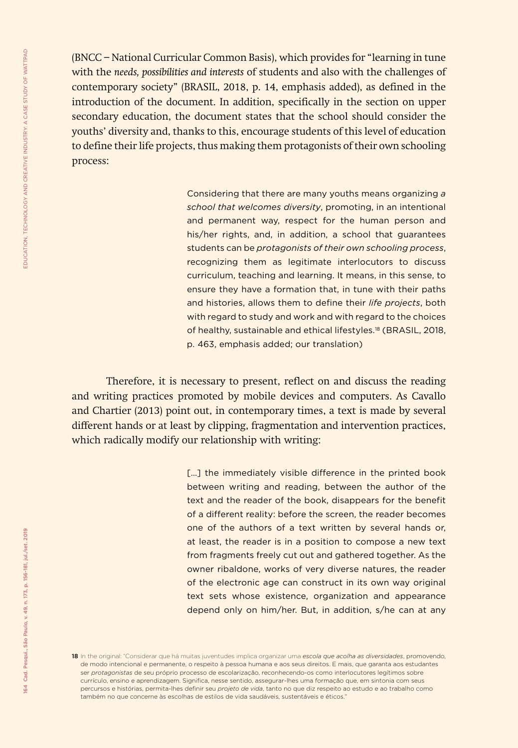(BNCC − National Curricular Common Basis), which provides for "learning in tune with the *needs, possibilities and interests* of students and also with the challenges of contemporary society" (BRASIL, 2018, p. 14, emphasis added), as defined in the introduction of the document. In addition, specifically in the section on upper secondary education, the document states that the school should consider the youths' diversity and, thanks to this, encourage students of this level of education to define their life projects, thus making them protagonists of their own schooling process:

> Considering that there are many youths means organizing *a school that welcomes diversity*, promoting, in an intentional and permanent way, respect for the human person and his/her rights, and, in addition, a school that guarantees students can be *protagonists of their own schooling process*, recognizing them as legitimate interlocutors to discuss curriculum, teaching and learning. It means, in this sense, to ensure they have a formation that, in tune with their paths and histories, allows them to define their *life projects*, both with regard to study and work and with regard to the choices of healthy, sustainable and ethical lifestyles.<sup>18</sup> (BRASIL, 2018, p. 463, emphasis added; our translation)

Therefore, it is necessary to present, reflect on and discuss the reading and writing practices promoted by mobile devices and computers. As Cavallo and Chartier (2013) point out, in contemporary times, a text is made by several different hands or at least by clipping, fragmentation and intervention practices, which radically modify our relationship with writing:

> [...] the immediately visible difference in the printed book between writing and reading, between the author of the text and the reader of the book, disappears for the benefit of a different reality: before the screen, the reader becomes one of the authors of a text written by several hands or, at least, the reader is in a position to compose a new text from fragments freely cut out and gathered together. As the owner ribaldone, works of very diverse natures, the reader of the electronic age can construct in its own way original text sets whose existence, organization and appearance depend only on him/her. But, in addition, s/he can at any

<sup>18</sup> In the original: "Considerar que há muitas juventudes implica organizar uma *escola que acolha as diversidades*, promovendo, de modo intencional e permanente, o respeito à pessoa humana e aos seus direitos. E mais, que garanta aos estudantes ser *protagonistas* de seu próprio processo de escolarização, reconhecendo-os como interlocutores legítimos sobre currículo, ensino e aprendizagem. Significa, nesse sentido, assegurar-lhes uma formação que, em sintonia com seus percursos e histórias, permita-lhes definir seu *projeto de vida*, tanto no que diz respeito ao estudo e ao trabalho como também no que concerne às escolhas de estilos de vida saudáveis, sustentáveis e éticos."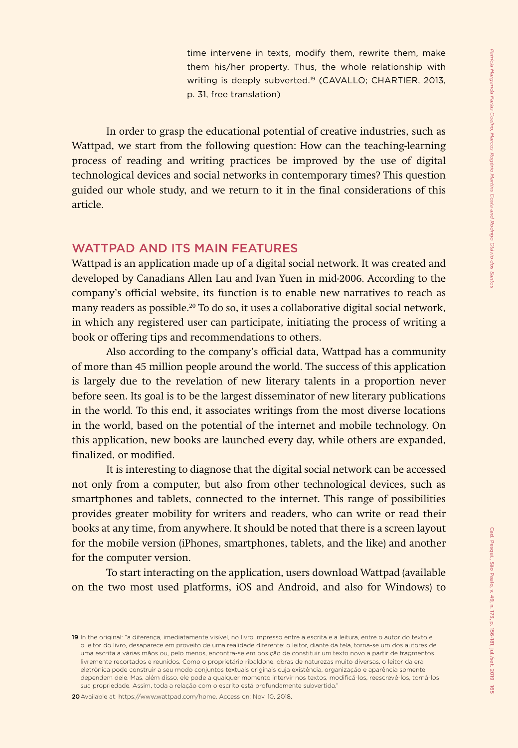time intervene in texts, modify them, rewrite them, make them his/her property. Thus, the whole relationship with writing is deeply subverted.<sup>19</sup> (CAVALLO; CHARTIER, 2013, p. 31, free translation)

In order to grasp the educational potential of creative industries, such as Wattpad, we start from the following question: How can the teaching-learning process of reading and writing practices be improved by the use of digital technological devices and social networks in contemporary times? This question guided our whole study, and we return to it in the final considerations of this article.

### WATTPAD AND ITS MAIN FEATURES

Wattpad is an application made up of a digital social network. It was created and developed by Canadians Allen Lau and Ivan Yuen in mid-2006. According to the company's official website, its function is to enable new narratives to reach as many readers as possible.20 To do so, it uses a collaborative digital social network, in which any registered user can participate, initiating the process of writing a book or offering tips and recommendations to others.

Also according to the company's official data, Wattpad has a community of more than 45 million people around the world. The success of this application is largely due to the revelation of new literary talents in a proportion never before seen. Its goal is to be the largest disseminator of new literary publications in the world. To this end, it associates writings from the most diverse locations in the world, based on the potential of the internet and mobile technology. On this application, new books are launched every day, while others are expanded, finalized, or modified.

It is interesting to diagnose that the digital social network can be accessed not only from a computer, but also from other technological devices, such as smartphones and tablets, connected to the internet. This range of possibilities provides greater mobility for writers and readers, who can write or read their books at any time, from anywhere. It should be noted that there is a screen layout for the mobile version (iPhones, smartphones, tablets, and the like) and another for the computer version.

To start interacting on the application, users download Wattpad (available on the two most used platforms, iOS and Android, and also for Windows) to

20Available at: https://www.wattpad.com/home. Access on: Nov. 10, 2018.

<sup>19</sup> In the original: "a diferença, imediatamente visível, no livro impresso entre a escrita e a leitura, entre o autor do texto e o leitor do livro, desaparece em proveito de uma realidade diferente: o leitor, diante da tela, torna-se um dos autores de uma escrita a várias mãos ou, pelo menos, encontra-se em posição de constituir um texto novo a partir de fragmentos livremente recortados e reunidos. Como o proprietário ribaldone, obras de naturezas muito diversas, o leitor da era eletrônica pode construir a seu modo conjuntos textuais originais cuja existência, organização e aparência somente dependem dele. Mas, além disso, ele pode a qualquer momento intervir nos textos, modificá-los, reescrevê-los, torná-los sua propriedade. Assim, toda a relação com o escrito está profundamente subvertida."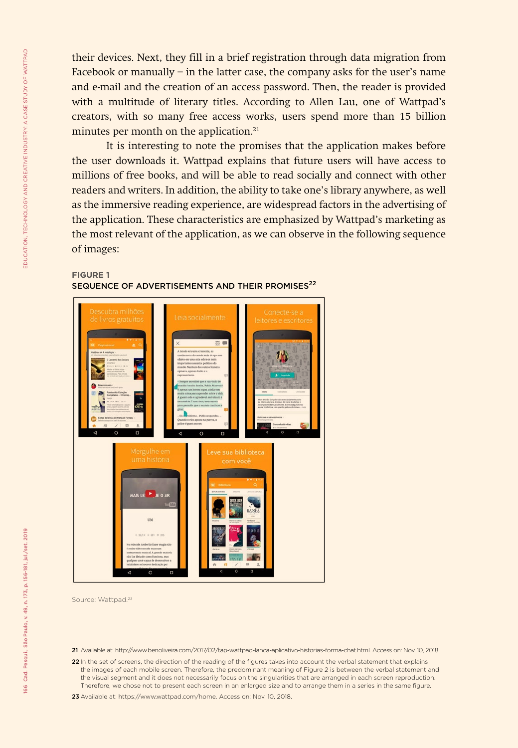their devices. Next, they fill in a brief registration through data migration from Facebook or manually − in the latter case, the company asks for the user's name and e-mail and the creation of an access password. Then, the reader is provided with a multitude of literary titles. According to Allen Lau, one of Wattpad's creators, with so many free access works, users spend more than 15 billion minutes per month on the application.<sup>21</sup>

It is interesting to note the promises that the application makes before the user downloads it. Wattpad explains that future users will have access to millions of free books, and will be able to read socially and connect with other readers and writers. In addition, the ability to take one's library anywhere, as well as the immersive reading experience, are widespread factors in the advertising of the application. These characteristics are emphasized by Wattpad's marketing as the most relevant of the application, as we can observe in the following sequence of images:

#### **FIGURE 1**

SEQUENCE OF ADVERTISEMENTS AND THEIR PROMISES<sup>22</sup>



Source: Wattpad.23

21 Available at: http://www.benoliveira.com/2017/02/tap-wattpad-lanca-aplicativo-historias-forma-chat.html. Access on: Nov. 10, 2018

22 In the set of screens, the direction of the reading of the figures takes into account the verbal statement that explains the images of each mobile screen. Therefore, the predominant meaning of Figure 2 is between the verbal statement and the visual segment and it does not necessarily focus on the singularities that are arranged in each screen reproduction. Therefore, we chose not to present each screen in an enlarged size and to arrange them in a series in the same figure.

23 Available at: [https://www.wattpad.com/home.](https://www.wattpad.com/home) Access on: Nov. 10, 2018.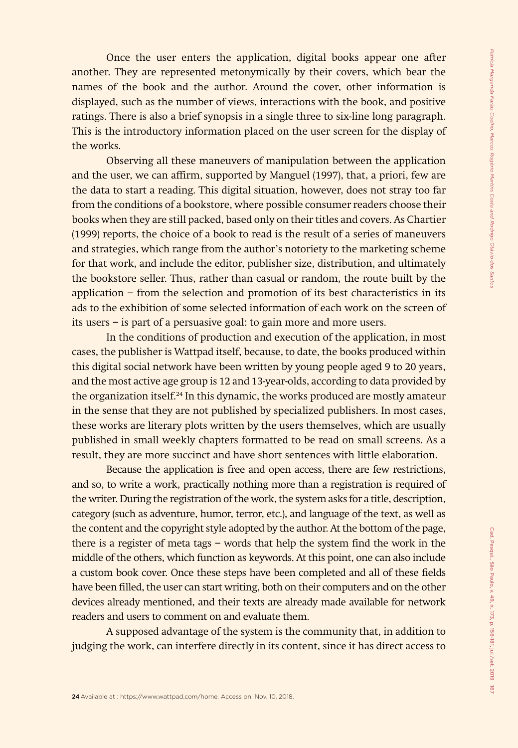Once the user enters the application, digital books appear one after another. They are represented metonymically by their covers, which bear the names of the book and the author. Around the cover, other information is displayed, such as the number of views, interactions with the book, and positive ratings. There is also a brief synopsis in a single three to six-line long paragraph. This is the introductory information placed on the user screen for the display of the works.

Observing all these maneuvers of manipulation between the application and the user, we can affirm, supported by Manguel (1997), that, a priori, few are the data to start a reading. This digital situation, however, does not stray too far from the conditions of a bookstore, where possible consumer readers choose their books when they are still packed, based only on their titles and covers. As Chartier (1999) reports, the choice of a book to read is the result of a series of maneuvers and strategies, which range from the author's notoriety to the marketing scheme for that work, and include the editor, publisher size, distribution, and ultimately the bookstore seller. Thus, rather than casual or random, the route built by the application − from the selection and promotion of its best characteristics in its ads to the exhibition of some selected information of each work on the screen of its users − is part of a persuasive goal: to gain more and more users.

In the conditions of production and execution of the application, in most cases, the publisher is Wattpad itself, because, to date, the books produced within this digital social network have been written by young people aged 9 to 20 years, and the most active age group is 12 and 13-year-olds, according to data provided by the organization itself.<sup>24</sup> In this dynamic, the works produced are mostly amateur in the sense that they are not published by specialized publishers. In most cases, these works are literary plots written by the users themselves, which are usually published in small weekly chapters formatted to be read on small screens. As a result, they are more succinct and have short sentences with little elaboration.

Because the application is free and open access, there are few restrictions, and so, to write a work, practically nothing more than a registration is required of the writer. During the registration of the work, the system asks for a title, description, category (such as adventure, humor, terror, etc.), and language of the text, as well as the content and the copyright style adopted by the author. At the bottom of the page, there is a register of meta tags − words that help the system find the work in the middle of the others, which function as keywords. At this point, one can also include a custom book cover. Once these steps have been completed and all of these fields have been filled, the user can start writing, both on their computers and on the other devices already mentioned, and their texts are already made available for network readers and users to comment on and evaluate them.

A supposed advantage of the system is the community that, in addition to judging the work, can interfere directly in its content, since it has direct access to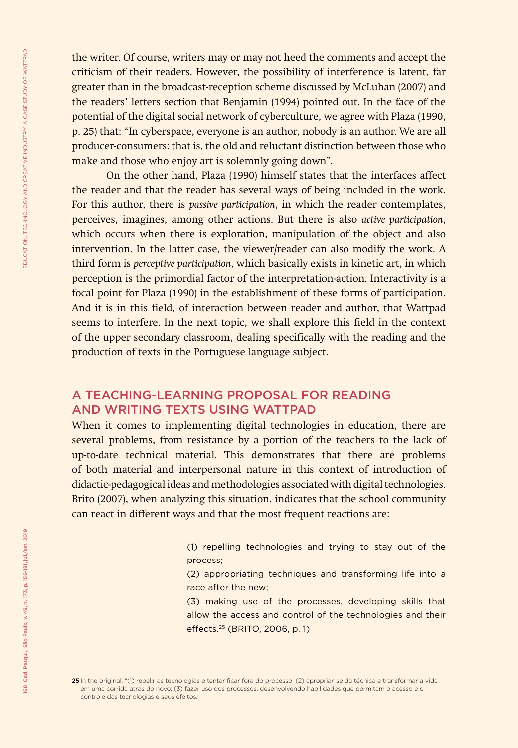the writer. Of course, writers may or may not heed the comments and accept the criticism of their readers. However, the possibility of interference is latent, far greater than in the broadcast-reception scheme discussed by McLuhan (2007) and the readers' letters section that Benjamin (1994) pointed out. In the face of the potential of the digital social network of cyberculture, we agree with Plaza (1990, p. 25) that: "In cyberspace, everyone is an author, nobody is an author. We are all producer-consumers: that is, the old and reluctant distinction between those who make and those who enjoy art is solemnly going down".

On the other hand, Plaza (1990) himself states that the interfaces affect the reader and that the reader has several ways of being included in the work. For this author, there is *passive participation*, in which the reader contemplates, perceives, imagines, among other actions. But there is also *active participation*, which occurs when there is exploration, manipulation of the object and also intervention. In the latter case, the viewer/reader can also modify the work. A third form is *perceptive participation*, which basically exists in kinetic art, in which perception is the primordial factor of the interpretation-action. Interactivity is a focal point for Plaza (1990) in the establishment of these forms of participation. And it is in this field, of interaction between reader and author, that Wattpad seems to interfere. In the next topic, we shall explore this field in the context of the upper secondary classroom, dealing specifically with the reading and the production of texts in the Portuguese language subject.

## A TEACHING-LEARNING PROPOSAL FOR READING AND WRITING TEXTS USING WATTPAD

When it comes to implementing digital technologies in education, there are several problems, from resistance by a portion of the teachers to the lack of up-to-date technical material. This demonstrates that there are problems of both material and interpersonal nature in this context of introduction of didactic-pedagogical ideas and methodologies associated with digital technologies. Brito (2007), when analyzing this situation, indicates that the school community can react in different ways and that the most frequent reactions are:

> (1) repelling technologies and trying to stay out of the process;

> (2) appropriating techniques and transforming life into a race after the new;

> (3) making use of the processes, developing skills that allow the access and control of the technologies and their effects.25 (BRITO, 2006, p. 1)

<sup>25</sup> In the original: "(1) repelir as tecnologias e tentar ficar fora do processo; (2) apropriar-se da técnica e transformar a vida em uma corrida atrás do novo; (3) fazer uso dos processos, desenvolvendo habilidades que permitam o acesso e o controle das tecnologias e seus efeitos."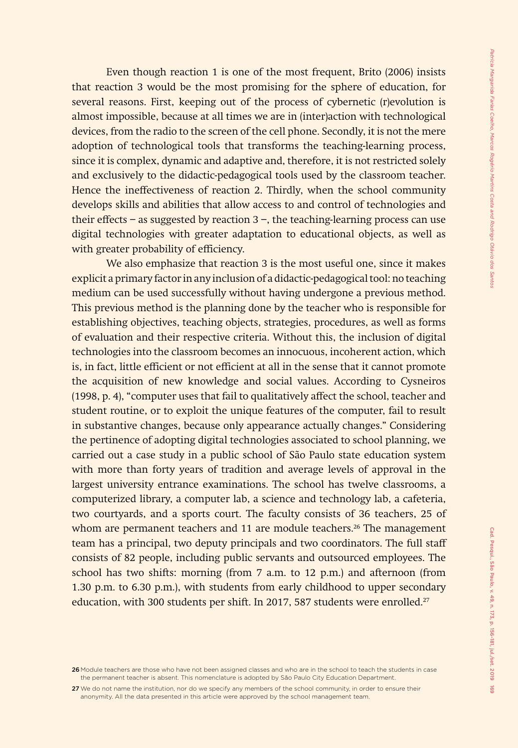Even though reaction 1 is one of the most frequent, Brito (2006) insists that reaction 3 would be the most promising for the sphere of education, for several reasons. First, keeping out of the process of cybernetic (r)evolution is almost impossible, because at all times we are in (inter)action with technological devices, from the radio to the screen of the cell phone. Secondly, it is not the mere adoption of technological tools that transforms the teaching-learning process, since it is complex, dynamic and adaptive and, therefore, it is not restricted solely and exclusively to the didactic-pedagogical tools used by the classroom teacher. Hence the ineffectiveness of reaction 2. Thirdly, when the school community develops skills and abilities that allow access to and control of technologies and their effects − as suggested by reaction 3 −, the teaching-learning process can use digital technologies with greater adaptation to educational objects, as well as with greater probability of efficiency.

We also emphasize that reaction 3 is the most useful one, since it makes explicit a primary factor in any inclusion of a didactic-pedagogical tool: no teaching medium can be used successfully without having undergone a previous method. This previous method is the planning done by the teacher who is responsible for establishing objectives, teaching objects, strategies, procedures, as well as forms of evaluation and their respective criteria. Without this, the inclusion of digital technologies into the classroom becomes an innocuous, incoherent action, which is, in fact, little efficient or not efficient at all in the sense that it cannot promote the acquisition of new knowledge and social values. According to Cysneiros (1998, p. 4), "computer uses that fail to qualitatively affect the school, teacher and student routine, or to exploit the unique features of the computer, fail to result in substantive changes, because only appearance actually changes." Considering the pertinence of adopting digital technologies associated to school planning, we carried out a case study in a public school of São Paulo state education system with more than forty years of tradition and average levels of approval in the largest university entrance examinations. The school has twelve classrooms, a computerized library, a computer lab, a science and technology lab, a cafeteria, two courtyards, and a sports court. The faculty consists of 36 teachers, 25 of whom are permanent teachers and 11 are module teachers.<sup>26</sup> The management team has a principal, two deputy principals and two coordinators. The full staff consists of 82 people, including public servants and outsourced employees. The school has two shifts: morning (from 7 a.m. to 12 p.m.) and afternoon (from 1.30 p.m. to 6.30 p.m.), with students from early childhood to upper secondary education, with 300 students per shift. In 2017, 587 students were enrolled.<sup>27</sup>

27 We do not name the institution, nor do we specify any members of the school community, in order to ensure their anonymity. All the data presented in this article were approved by the school management team.

<sup>26</sup> Module teachers are those who have not been assigned classes and who are in the school to teach the students in case the permanent teacher is absent. This nomenclature is adopted by São Paulo City Education Department.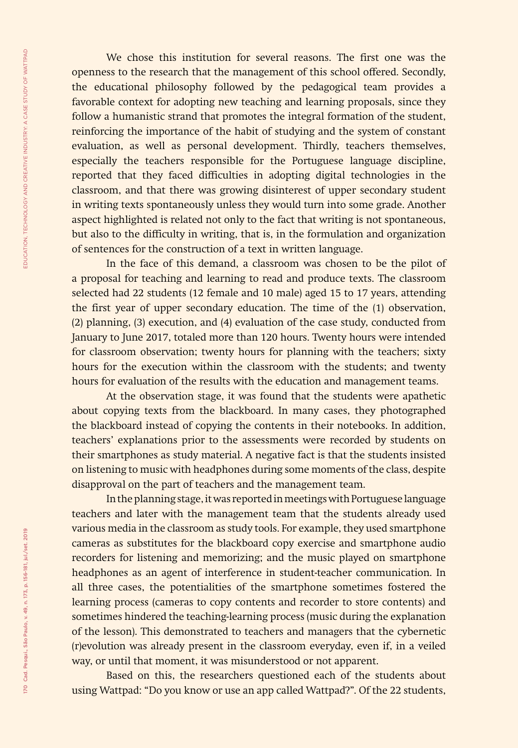We chose this institution for several reasons. The first one was the openness to the research that the management of this school offered. Secondly, the educational philosophy followed by the pedagogical team provides a favorable context for adopting new teaching and learning proposals, since they follow a humanistic strand that promotes the integral formation of the student, reinforcing the importance of the habit of studying and the system of constant evaluation, as well as personal development. Thirdly, teachers themselves, especially the teachers responsible for the Portuguese language discipline, reported that they faced difficulties in adopting digital technologies in the classroom, and that there was growing disinterest of upper secondary student in writing texts spontaneously unless they would turn into some grade. Another aspect highlighted is related not only to the fact that writing is not spontaneous, but also to the difficulty in writing, that is, in the formulation and organization of sentences for the construction of a text in written language.

In the face of this demand, a classroom was chosen to be the pilot of a proposal for teaching and learning to read and produce texts. The classroom selected had 22 students (12 female and 10 male) aged 15 to 17 years, attending the first year of upper secondary education. The time of the (1) observation, (2) planning, (3) execution, and (4) evaluation of the case study, conducted from January to June 2017, totaled more than 120 hours. Twenty hours were intended for classroom observation; twenty hours for planning with the teachers; sixty hours for the execution within the classroom with the students; and twenty hours for evaluation of the results with the education and management teams.

At the observation stage, it was found that the students were apathetic about copying texts from the blackboard. In many cases, they photographed the blackboard instead of copying the contents in their notebooks. In addition, teachers' explanations prior to the assessments were recorded by students on their smartphones as study material. A negative fact is that the students insisted on listening to music with headphones during some moments of the class, despite disapproval on the part of teachers and the management team.

In the planning stage, it was reported in meetings with Portuguese language teachers and later with the management team that the students already used various media in the classroom as study tools. For example, they used smartphone cameras as substitutes for the blackboard copy exercise and smartphone audio recorders for listening and memorizing; and the music played on smartphone headphones as an agent of interference in student-teacher communication. In all three cases, the potentialities of the smartphone sometimes fostered the learning process (cameras to copy contents and recorder to store contents) and sometimes hindered the teaching-learning process (music during the explanation of the lesson). This demonstrated to teachers and managers that the cybernetic (r)evolution was already present in the classroom everyday, even if, in a veiled way, or until that moment, it was misunderstood or not apparent.

Based on this, the researchers questioned each of the students about using Wattpad: "Do you know or use an app called Wattpad?". Of the 22 students,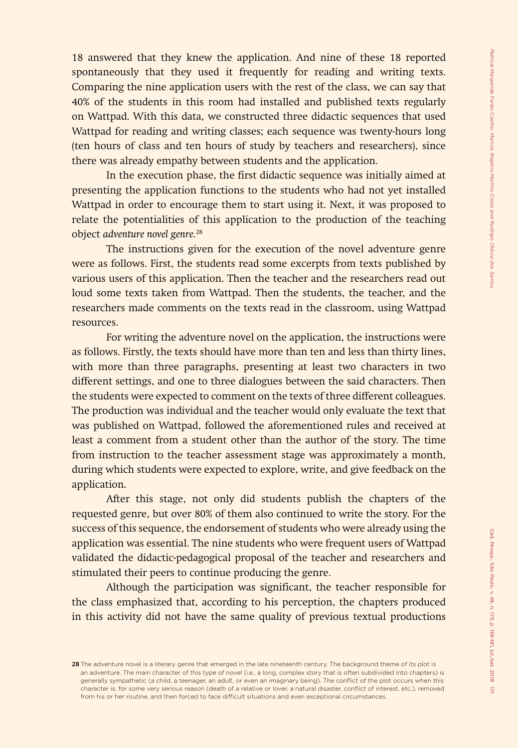18 answered that they knew the application. And nine of these 18 reported spontaneously that they used it frequently for reading and writing texts. Comparing the nine application users with the rest of the class, we can say that 40% of the students in this room had installed and published texts regularly on Wattpad. With this data, we constructed three didactic sequences that used Wattpad for reading and writing classes; each sequence was twenty-hours long (ten hours of class and ten hours of study by teachers and researchers), since there was already empathy between students and the application.

In the execution phase, the first didactic sequence was initially aimed at presenting the application functions to the students who had not yet installed Wattpad in order to encourage them to start using it. Next, it was proposed to relate the potentialities of this application to the production of the teaching object *adventure novel genre.*<sup>28</sup>

The instructions given for the execution of the novel adventure genre were as follows. First, the students read some excerpts from texts published by various users of this application. Then the teacher and the researchers read out loud some texts taken from Wattpad. Then the students, the teacher, and the researchers made comments on the texts read in the classroom, using Wattpad resources.

For writing the adventure novel on the application, the instructions were as follows. Firstly, the texts should have more than ten and less than thirty lines, with more than three paragraphs, presenting at least two characters in two different settings, and one to three dialogues between the said characters. Then the students were expected to comment on the texts of three different colleagues. The production was individual and the teacher would only evaluate the text that was published on Wattpad, followed the aforementioned rules and received at least a comment from a student other than the author of the story. The time from instruction to the teacher assessment stage was approximately a month, during which students were expected to explore, write, and give feedback on the application.

After this stage, not only did students publish the chapters of the requested genre, but over 80% of them also continued to write the story. For the success of this sequence, the endorsement of students who were already using the application was essential. The nine students who were frequent users of Wattpad validated the didactic-pedagogical proposal of the teacher and researchers and stimulated their peers to continue producing the genre.

Although the participation was significant, the teacher responsible for the class emphasized that, according to his perception, the chapters produced in this activity did not have the same quality of previous textual productions

<sup>28</sup> The adventure novel is a literary genre that emerged in the late nineteenth century. The background theme of its plot is an adventure. The main character of this type of novel (i.e., a long, complex story that is often subdivided into chapters) is generally sympathetic (a child, a teenager, an adult, or even an imaginary being). The conflict of the plot occurs when this character is, for some very serious reason (death of a relative or lover, a natural disaster, conflict of interest, etc.), removed from his or her routine, and then forced to face difficult situations and even exceptional circumstances.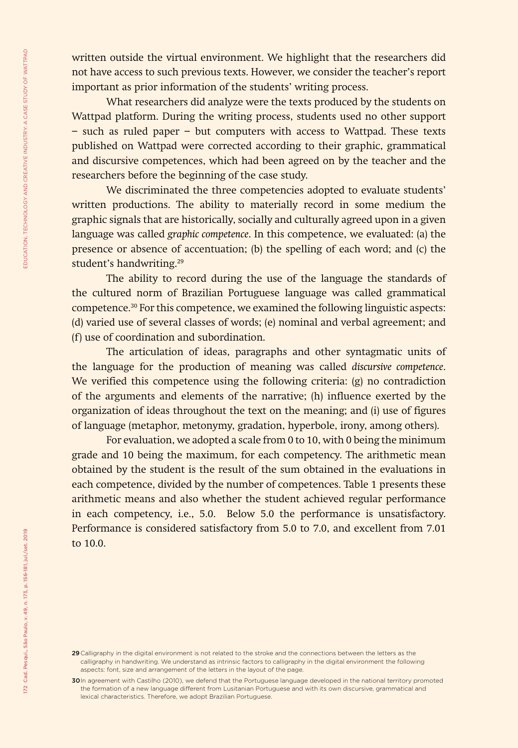written outside the virtual environment. We highlight that the researchers did not have access to such previous texts. However, we consider the teacher's report important as prior information of the students' writing process.

What researchers did analyze were the texts produced by the students on Wattpad platform. During the writing process, students used no other support − such as ruled paper − but computers with access to Wattpad. These texts published on Wattpad were corrected according to their graphic, grammatical and discursive competences, which had been agreed on by the teacher and the researchers before the beginning of the case study.

We discriminated the three competencies adopted to evaluate students' written productions. The ability to materially record in some medium the graphic signals that are historically, socially and culturally agreed upon in a given language was called *graphic competence*. In this competence, we evaluated: (a) the presence or absence of accentuation; (b) the spelling of each word; and (c) the student's handwriting.<sup>29</sup>

The ability to record during the use of the language the standards of the cultured norm of Brazilian Portuguese language was called grammatical competence.30 For this competence, we examined the following linguistic aspects: (d) varied use of several classes of words; (e) nominal and verbal agreement; and (f) use of coordination and subordination.

The articulation of ideas, paragraphs and other syntagmatic units of the language for the production of meaning was called *discursive competence*. We verified this competence using the following criteria: (g) no contradiction of the arguments and elements of the narrative; (h) influence exerted by the organization of ideas throughout the text on the meaning; and (i) use of figures of language (metaphor, metonymy, gradation, hyperbole, irony, among others).

For evaluation, we adopted a scale from 0 to 10, with 0 being the minimum grade and 10 being the maximum, for each competency. The arithmetic mean obtained by the student is the result of the sum obtained in the evaluations in each competence, divided by the number of competences. Table 1 presents these arithmetic means and also whether the student achieved regular performance in each competency, i.e., 5.0. Below 5.0 the performance is unsatisfactory. Performance is considered satisfactory from 5.0 to 7.0, and excellent from 7.01 to 10.0.

<sup>29</sup> Calligraphy in the digital environment is not related to the stroke and the connections between the letters as the calligraphy in handwriting. We understand as intrinsic factors to calligraphy in the digital environment the following aspects: font, size and arrangement of the letters in the layout of the page.

<sup>30</sup>In agreement with Castilho (2010), we defend that the Portuguese language developed in the national territory promoted the formation of a new language different from Lusitanian Portuguese and with its own discursive, grammatical and lexical characteristics. Therefore, we adopt Brazilian Portuguese.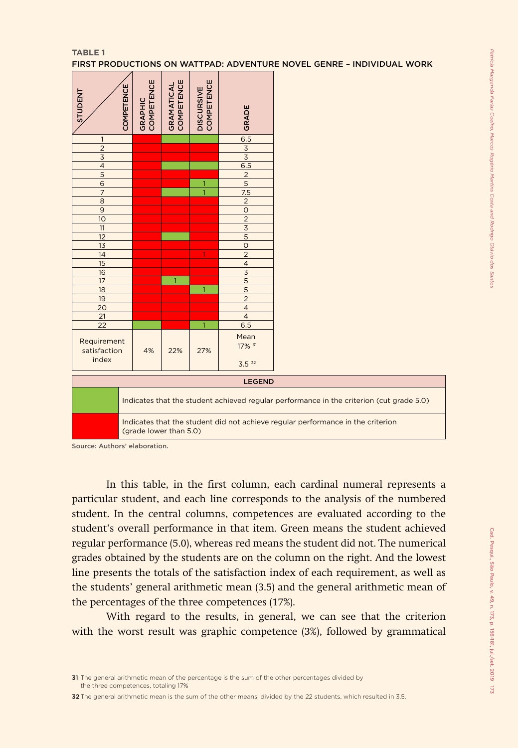#### **TABLE 1**

FIRST PRODUCTIONS ON WATTPAD: ADVENTURE NOVEL GENRE – INDIVIDUAL WORK

| STUDENT                              | GRAPHIC<br>COMPETENCE<br>COMPETENCE                                                                       | <b>GRAMATICAL</b><br>COMPETENCE | DISCURSIVE<br>COMPETENCE | GRADE             |  |
|--------------------------------------|-----------------------------------------------------------------------------------------------------------|---------------------------------|--------------------------|-------------------|--|
| 1                                    |                                                                                                           |                                 |                          | 6.5               |  |
| $\overline{2}$                       |                                                                                                           |                                 |                          | $\overline{3}$    |  |
| $\overline{3}$                       |                                                                                                           |                                 |                          | $\overline{3}$    |  |
| $\overline{\mathcal{L}}$             |                                                                                                           |                                 |                          | 6.5               |  |
| $\overline{5}$                       |                                                                                                           |                                 |                          | $\overline{c}$    |  |
| $\frac{6}{7}$                        |                                                                                                           |                                 |                          | $\overline{5}$    |  |
|                                      |                                                                                                           |                                 | $\overline{1}$           | $\overline{7.5}$  |  |
| $\overline{8}$                       |                                                                                                           |                                 |                          | $\overline{c}$    |  |
| $\overline{9}$                       |                                                                                                           |                                 |                          | $\circ$           |  |
| 10                                   |                                                                                                           |                                 |                          | $\overline{2}$    |  |
| 11                                   |                                                                                                           |                                 |                          | $\overline{3}$    |  |
| $\overline{12}$                      |                                                                                                           |                                 |                          | $\overline{5}$    |  |
| $\overline{13}$                      |                                                                                                           |                                 |                          | $\circ$           |  |
| 14                                   |                                                                                                           |                                 | ♦                        | $\overline{2}$    |  |
| 15                                   |                                                                                                           |                                 |                          | $\overline{4}$    |  |
| 16                                   |                                                                                                           |                                 |                          | $\overline{3}$    |  |
| 17                                   |                                                                                                           |                                 |                          | $\overline{5}$    |  |
| 18                                   |                                                                                                           |                                 | $\mathbf{1}$             | 5                 |  |
| 19                                   |                                                                                                           |                                 |                          | $\overline{2}$    |  |
| 20                                   |                                                                                                           |                                 |                          | $\overline{4}$    |  |
| 21                                   |                                                                                                           |                                 |                          | $\overline{4}$    |  |
| 22                                   |                                                                                                           |                                 |                          | 6.5               |  |
| Requirement<br>satisfaction<br>index | 4%                                                                                                        | 22%                             | 27%                      | Mean<br>17% 31    |  |
|                                      |                                                                                                           |                                 |                          | 3.5 <sup>32</sup> |  |
|                                      |                                                                                                           |                                 |                          | <b>LEGEND</b>     |  |
|                                      | Indicates that the student achieved regular performance in the criterion (cut grade 5.0)                  |                                 |                          |                   |  |
|                                      | Indicates that the student did not achieve regular performance in the criterion<br>(grade lower than 5.0) |                                 |                          |                   |  |

Source: Authors' elaboration.

In this table, in the first column, each cardinal numeral represents a particular student, and each line corresponds to the analysis of the numbered student. In the central columns, competences are evaluated according to the student's overall performance in that item. Green means the student achieved regular performance (5.0), whereas red means the student did not. The numerical grades obtained by the students are on the column on the right. And the lowest line presents the totals of the satisfaction index of each requirement, as well as the students' general arithmetic mean (3.5) and the general arithmetic mean of the percentages of the three competences (17%).

With regard to the results, in general, we can see that the criterion with the worst result was graphic competence (3%), followed by grammatical

<sup>31</sup> The general arithmetic mean of the percentage is the sum of the other percentages divided by the three competences, totaling 17%

<sup>32</sup> The general arithmetic mean is the sum of the other means, divided by the 22 students, which resulted in 3.5.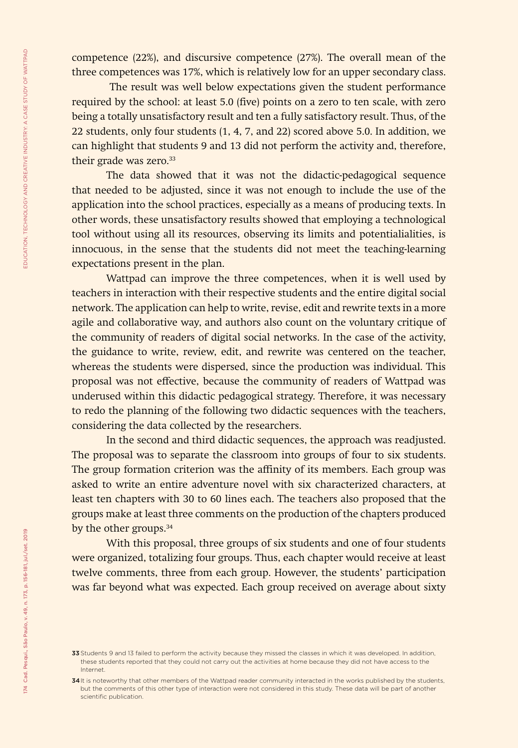competence (22%), and discursive competence (27%). The overall mean of the three competences was 17%, which is relatively low for an upper secondary class.

 The result was well below expectations given the student performance required by the school: at least 5.0 (five) points on a zero to ten scale, with zero being a totally unsatisfactory result and ten a fully satisfactory result. Thus, of the 22 students, only four students (1, 4, 7, and 22) scored above 5.0. In addition, we can highlight that students 9 and 13 did not perform the activity and, therefore, their grade was zero.<sup>33</sup>

The data showed that it was not the didactic-pedagogical sequence that needed to be adjusted, since it was not enough to include the use of the application into the school practices, especially as a means of producing texts. In other words, these unsatisfactory results showed that employing a technological tool without using all its resources, observing its limits and potentialialities, is innocuous, in the sense that the students did not meet the teaching-learning expectations present in the plan.

Wattpad can improve the three competences, when it is well used by teachers in interaction with their respective students and the entire digital social network. The application can help to write, revise, edit and rewrite texts in a more agile and collaborative way, and authors also count on the voluntary critique of the community of readers of digital social networks. In the case of the activity, the guidance to write, review, edit, and rewrite was centered on the teacher, whereas the students were dispersed, since the production was individual. This proposal was not effective, because the community of readers of Wattpad was underused within this didactic pedagogical strategy. Therefore, it was necessary to redo the planning of the following two didactic sequences with the teachers, considering the data collected by the researchers.

In the second and third didactic sequences, the approach was readjusted. The proposal was to separate the classroom into groups of four to six students. The group formation criterion was the affinity of its members. Each group was asked to write an entire adventure novel with six characterized characters, at least ten chapters with 30 to 60 lines each. The teachers also proposed that the groups make at least three comments on the production of the chapters produced by the other groups.<sup>34</sup>

With this proposal, three groups of six students and one of four students were organized, totalizing four groups. Thus, each chapter would receive at least twelve comments, three from each group. However, the students' participation was far beyond what was expected. Each group received on average about sixty

<sup>33</sup> Students 9 and 13 failed to perform the activity because they missed the classes in which it was developed. In addition, these students reported that they could not carry out the activities at home because they did not have access to the Internet.

<sup>34</sup> It is noteworthy that other members of the Wattpad reader community interacted in the works published by the students, but the comments of this other type of interaction were not considered in this study. These data will be part of another scientific publication.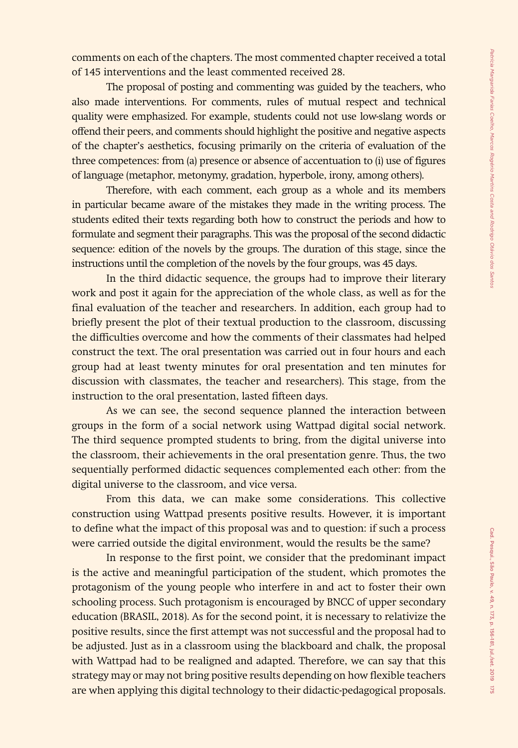comments on each of the chapters. The most commented chapter received a total of 145 interventions and the least commented received 28.

The proposal of posting and commenting was guided by the teachers, who also made interventions. For comments, rules of mutual respect and technical quality were emphasized. For example, students could not use low-slang words or offend their peers, and comments should highlight the positive and negative aspects of the chapter's aesthetics, focusing primarily on the criteria of evaluation of the three competences: from (a) presence or absence of accentuation to (i) use of figures of language (metaphor, metonymy, gradation, hyperbole, irony, among others).

Therefore, with each comment, each group as a whole and its members in particular became aware of the mistakes they made in the writing process. The students edited their texts regarding both how to construct the periods and how to formulate and segment their paragraphs. This was the proposal of the second didactic sequence: edition of the novels by the groups. The duration of this stage, since the instructions until the completion of the novels by the four groups, was 45 days.

In the third didactic sequence, the groups had to improve their literary work and post it again for the appreciation of the whole class, as well as for the final evaluation of the teacher and researchers. In addition, each group had to briefly present the plot of their textual production to the classroom, discussing the difficulties overcome and how the comments of their classmates had helped construct the text. The oral presentation was carried out in four hours and each group had at least twenty minutes for oral presentation and ten minutes for discussion with classmates, the teacher and researchers). This stage, from the instruction to the oral presentation, lasted fifteen days.

As we can see, the second sequence planned the interaction between groups in the form of a social network using Wattpad digital social network. The third sequence prompted students to bring, from the digital universe into the classroom, their achievements in the oral presentation genre. Thus, the two sequentially performed didactic sequences complemented each other: from the digital universe to the classroom, and vice versa.

From this data, we can make some considerations. This collective construction using Wattpad presents positive results. However, it is important to define what the impact of this proposal was and to question: if such a process were carried outside the digital environment, would the results be the same?

In response to the first point, we consider that the predominant impact is the active and meaningful participation of the student, which promotes the protagonism of the young people who interfere in and act to foster their own schooling process. Such protagonism is encouraged by BNCC of upper secondary education (BRASIL, 2018). As for the second point, it is necessary to relativize the positive results, since the first attempt was not successful and the proposal had to be adjusted. Just as in a classroom using the blackboard and chalk, the proposal with Wattpad had to be realigned and adapted. Therefore, we can say that this strategy may or may not bring positive results depending on how flexible teachers are when applying this digital technology to their didactic-pedagogical proposals.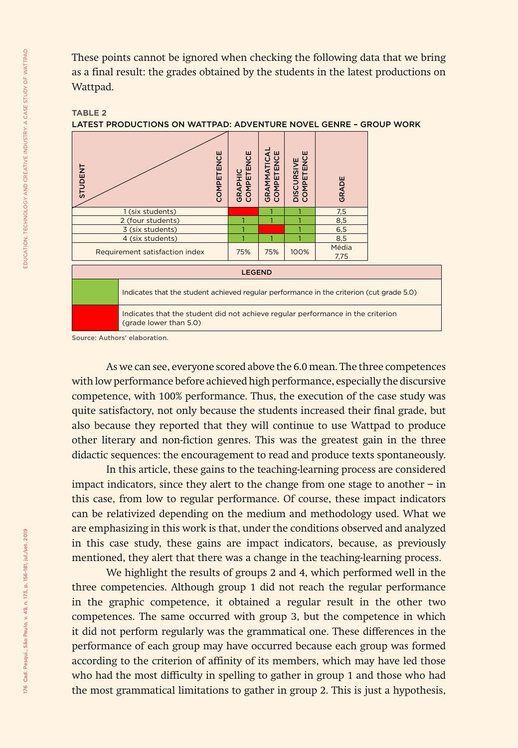These points cannot be ignored when checking the following data that we bring as a final result: the grades obtained by the students in the latest productions on Wattpad.





Source: Authors' elaboration.

As we can see, everyone scored above the 6.0 mean. The three competences with low performance before achieved high performance, especially the discursive competence, with 100% performance. Thus, the execution of the case study was quite satisfactory, not only because the students increased their final grade, but also because they reported that they will continue to use Wattpad to produce other literary and non-fiction genres. This was the greatest gain in the three didactic sequences: the encouragement to read and produce texts spontaneously.

In this article, these gains to the teaching-learning process are considered impact indicators, since they alert to the change from one stage to another − in this case, from low to regular performance. Of course, these impact indicators can be relativized depending on the medium and methodology used. What we are emphasizing in this work is that, under the conditions observed and analyzed in this case study, these gains are impact indicators, because, as previously mentioned, they alert that there was a change in the teaching-learning process.

We highlight the results of groups 2 and 4, which performed well in the three competencies. Although group 1 did not reach the regular performance in the graphic competence, it obtained a regular result in the other two competences. The same occurred with group 3, but the competence in which it did not perform regularly was the grammatical one. These differences in the performance of each group may have occurred because each group was formed according to the criterion of affinity of its members, which may have led those who had the most difficulty in spelling to gather in group 1 and those who had the most grammatical limitations to gather in group 2. This is just a hypothesis,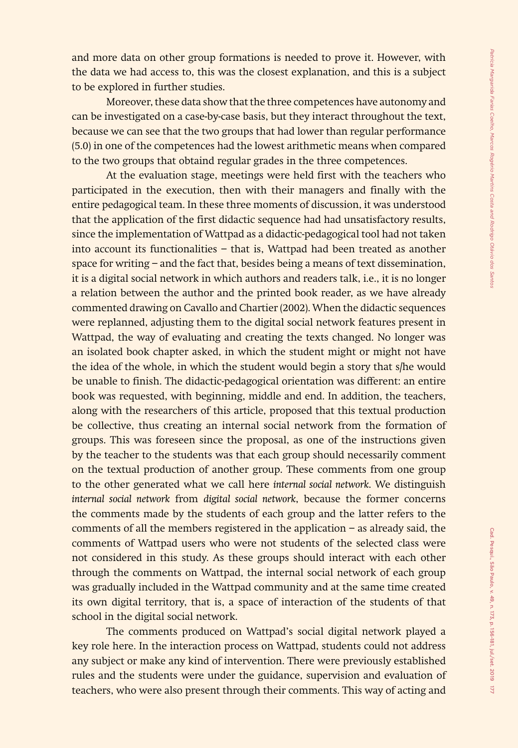and more data on other group formations is needed to prove it. However, with the data we had access to, this was the closest explanation, and this is a subject to be explored in further studies.

Moreover, these data show that the three competences have autonomy and can be investigated on a case-by-case basis, but they interact throughout the text, because we can see that the two groups that had lower than regular performance (5.0) in one of the competences had the lowest arithmetic means when compared to the two groups that obtaind regular grades in the three competences.

At the evaluation stage, meetings were held first with the teachers who participated in the execution, then with their managers and finally with the entire pedagogical team. In these three moments of discussion, it was understood that the application of the first didactic sequence had had unsatisfactory results, since the implementation of Wattpad as a didactic-pedagogical tool had not taken into account its functionalities − that is, Wattpad had been treated as another space for writing − and the fact that, besides being a means of text dissemination, it is a digital social network in which authors and readers talk, i.e., it is no longer a relation between the author and the printed book reader, as we have already commented drawing on Cavallo and Chartier (2002). When the didactic sequences were replanned, adjusting them to the digital social network features present in Wattpad, the way of evaluating and creating the texts changed. No longer was an isolated book chapter asked, in which the student might or might not have the idea of the whole, in which the student would begin a story that s/he would be unable to finish. The didactic-pedagogical orientation was different: an entire book was requested, with beginning, middle and end. In addition, the teachers, along with the researchers of this article, proposed that this textual production be collective, thus creating an internal social network from the formation of groups. This was foreseen since the proposal, as one of the instructions given by the teacher to the students was that each group should necessarily comment on the textual production of another group. These comments from one group to the other generated what we call here *internal social network*. We distinguish *internal social network* from *digital social network*, because the former concerns the comments made by the students of each group and the latter refers to the comments of all the members registered in the application − as already said, the comments of Wattpad users who were not students of the selected class were not considered in this study. As these groups should interact with each other through the comments on Wattpad, the internal social network of each group was gradually included in the Wattpad community and at the same time created its own digital territory, that is, a space of interaction of the students of that school in the digital social network.

The comments produced on Wattpad's social digital network played a key role here. In the interaction process on Wattpad, students could not address any subject or make any kind of intervention. There were previously established rules and the students were under the guidance, supervision and evaluation of teachers, who were also present through their comments. This way of acting and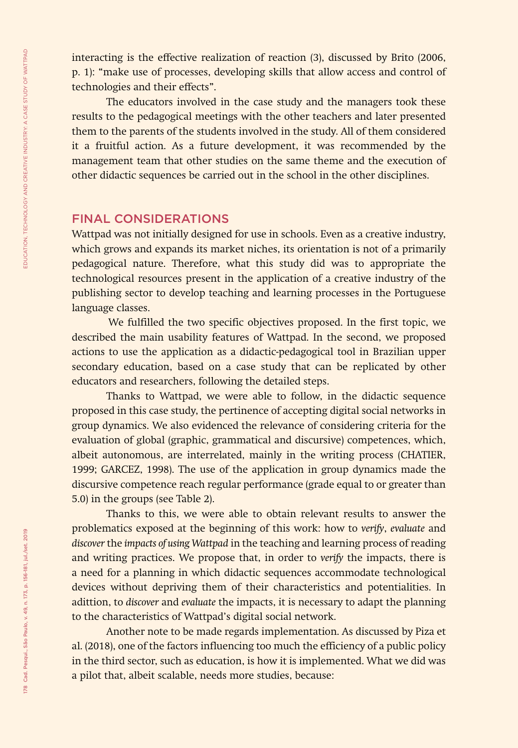interacting is the effective realization of reaction (3), discussed by Brito (2006, p. 1): "make use of processes, developing skills that allow access and control of technologies and their effects".

The educators involved in the case study and the managers took these results to the pedagogical meetings with the other teachers and later presented them to the parents of the students involved in the study. All of them considered it a fruitful action. As a future development, it was recommended by the management team that other studies on the same theme and the execution of other didactic sequences be carried out in the school in the other disciplines.

### FINAL CONSIDERATIONS

Wattpad was not initially designed for use in schools. Even as a creative industry, which grows and expands its market niches, its orientation is not of a primarily pedagogical nature. Therefore, what this study did was to appropriate the technological resources present in the application of a creative industry of the publishing sector to develop teaching and learning processes in the Portuguese language classes.

We fulfilled the two specific objectives proposed. In the first topic, we described the main usability features of Wattpad. In the second, we proposed actions to use the application as a didactic-pedagogical tool in Brazilian upper secondary education, based on a case study that can be replicated by other educators and researchers, following the detailed steps.

Thanks to Wattpad, we were able to follow, in the didactic sequence proposed in this case study, the pertinence of accepting digital social networks in group dynamics. We also evidenced the relevance of considering criteria for the evaluation of global (graphic, grammatical and discursive) competences, which, albeit autonomous, are interrelated, mainly in the writing process (CHATIER, 1999; GARCEZ, 1998). The use of the application in group dynamics made the discursive competence reach regular performance (grade equal to or greater than 5.0) in the groups (see Table 2).

Thanks to this, we were able to obtain relevant results to answer the problematics exposed at the beginning of this work: how to *verify*, *evaluate* and *discover* the *impacts of using Wattpad* in the teaching and learning process of reading and writing practices. We propose that, in order to *verify* the impacts, there is a need for a planning in which didactic sequences accommodate technological devices without depriving them of their characteristics and potentialities. In adittion, to *discover* and *evaluate* the impacts, it is necessary to adapt the planning to the characteristics of Wattpad's digital social network.

Another note to be made regards implementation. As discussed by Piza et al. (2018), one of the factors influencing too much the efficiency of a public policy in the third sector, such as education, is how it is implemented. What we did was a pilot that, albeit scalable, needs more studies, because: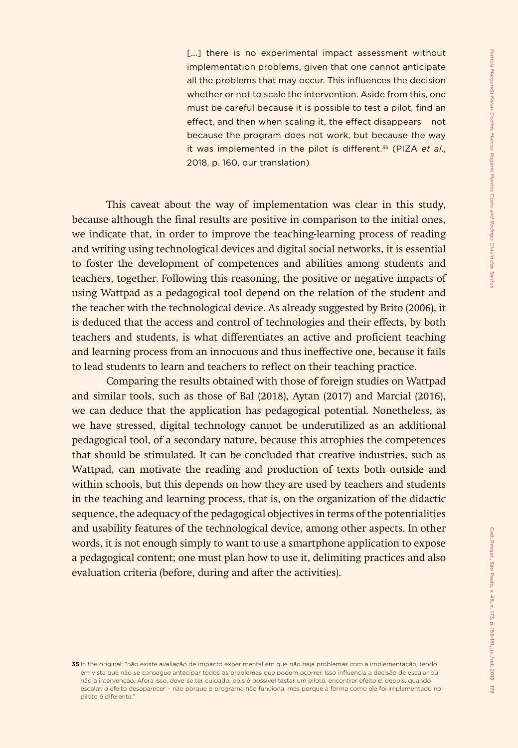[...] there is no experimental impact assessment without implementation problems, given that one cannot anticipate all the problems that may occur. This influences the decision whether or not to scale the intervention. Aside from this, one must be careful because it is possible to test a pilot, find an effect, and then when scaling it, the effect disappears – not because the program does not work, but because the way it was implemented in the pilot is different.35 (PIZA *et al*., 2018, p. 160, our translation)

This caveat about the way of implementation was clear in this study, because although the final results are positive in comparison to the initial ones, we indicate that, in order to improve the teaching-learning process of reading and writing using technological devices and digital social networks, it is essential to foster the development of competences and abilities among students and teachers, together. Following this reasoning, the positive or negative impacts of using Wattpad as a pedagogical tool depend on the relation of the student and the teacher with the technological device. As already suggested by Brito (2006), it is deduced that the access and control of technologies and their effects, by both teachers and students, is what differentiates an active and proficient teaching and learning process from an innocuous and thus ineffective one, because it fails to lead students to learn and teachers to reflect on their teaching practice.

Comparing the results obtained with those of foreign studies on Wattpad and similar tools, such as those of Bal (2018), Aytan (2017) and Marcial (2016), we can deduce that the application has pedagogical potential. Nonetheless, as we have stressed, digital technology cannot be underutilized as an additional pedagogical tool, of a secondary nature, because this atrophies the competences that should be stimulated. It can be concluded that creative industries, such as Wattpad, can motivate the reading and production of texts both outside and within schools, but this depends on how they are used by teachers and students in the teaching and learning process, that is, on the organization of the didactic sequence, the adequacy of the pedagogical objectives in terms of the potentialities and usability features of the technological device, among other aspects. In other words, it is not enough simply to want to use a smartphone application to expose a pedagogical content; one must plan how to use it, delimiting practices and also evaluation criteria (before, during and after the activities).

<sup>35</sup> In the original: "não existe avaliação de impacto experimental em que não haja problemas com a implementação, tendo em vista que não se consegue antecipar todos os problemas que podem ocorrer. Isso influencia a decisão de escalar ou não a intervenção. Afora isso, deve-se ter cuidado, pois é possível testar um piloto, encontrar efeito e, depois, quando escalar, o efeito desaparecer – não porque o programa não funciona, mas porque a forma como ele foi implementado no piloto é diferente."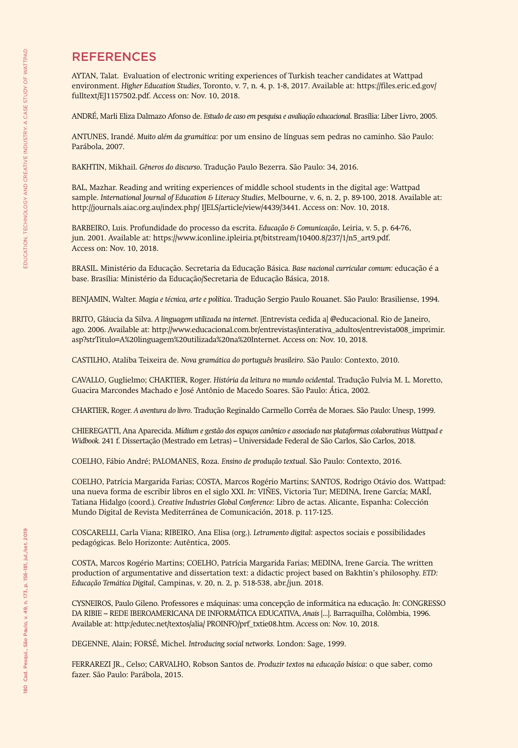### **REFERENCES**

AYTAN, Talat. Evaluation of electronic writing experiences of Turkish teacher candidates at Wattpad environment. *Higher Education Studies*, Toronto, v. 7, n. 4, p. 1-8, 2017. Available at: https://files.eric.ed.gov/ fulltext/EJ1157502.pdf. Access on: Nov. 10, 2018.

ANDRÉ, Marli Eliza Dalmazo Afonso de. *Estudo de caso em pesquisa e avaliação educacional*. Brasília: Liber Livro, 2005.

ANTUNES, Irandé. *Muito além da gramática*: por um ensino de línguas sem pedras no caminho. São Paulo: Parábola, 2007.

BAKHTIN, Mikhail. *Gêneros do discurso*. Tradução Paulo Bezerra. São Paulo: 34, 2016.

BAL, Mazhar. Reading and writing experiences of middle school students in the digital age: Wattpad sample. *International Journal of Education & Literacy Studies*, Melbourne, v. 6, n. 2, p. 89-100, 2018. Available at: http://journals.aiac.org.au/index.php/ IJELS/article/view/4439/3441. Access on: Nov. 10, 2018.

BARBEIRO, Luis. Profundidade do processo da escrita. *Educação & Comunicação*, Leiria, v. 5, p. 64-76, jun. 2001. Available at: https://www.iconline.ipleiria.pt/bitstream/10400.8/237/1/n5\_art9.pdf. Access on: Nov. 10, 2018.

BRASIL. Ministério da Educação. Secretaria da Educação Básica. *Base nacional curricular comum:* educação é a base. Brasília: Ministério da Educação/Secretaria de Educação Básica, 2018.

BENJAMIN, Walter. *Magia e técnica, arte e política*. Tradução Sergio Paulo Rouanet. São Paulo: Brasiliense, 1994.

BRITO, Gláucia da Silva. *A linguagem utilizada na internet*. [Entrevista cedida a] @educacional. Rio de Janeiro, ago. 2006. Available at: http://www.educacional.com.br/entrevistas/interativa\_adultos/entrevista008\_imprimir. asp?strTitulo=A%20linguagem%20utilizada%20na%20Internet. Access on: Nov. 10, 2018.

CASTILHO, Ataliba Teixeira de. *Nova gramática do português brasileiro*. São Paulo: Contexto, 2010.

CAVALLO, Guglielmo; CHARTIER, Roger. *História da leitura no mundo ocidental*. Tradução Fulvia M. L. Moretto, Guacira Marcondes Machado e José Antônio de Macedo Soares. São Paulo: Ática, 2002.

CHARTIER, Roger. *A aventura do livro*. Tradução Reginaldo Carmello Corrêa de Moraes. São Paulo: Unesp, 1999.

CHIEREGATTI, Ana Aparecida. *Mídium e gestão dos espaços canônico e associado nas plataformas colaborativas Wattpad e Widbook.* 241 f. Dissertação (Mestrado em Letras) – Universidade Federal de São Carlos, São Carlos, 2018.

COELHO, Fábio André; PALOMANES, Roza. *Ensino de produção textual*. São Paulo: Contexto, 2016.

COELHO, Patrícia Margarida Farias; COSTA, Marcos Rogério Martins; SANTOS, Rodrigo Otávio dos. Wattpad: una nueva forma de escribir libros en el siglo XXI. *In*: VIÑES, Victoria Tur; MEDINA, Irene García; MARÍ, Tatiana Hidalgo (coord.). *Creative Industries Global Conference:* Libro de actas. Alicante, Espanha: Colección Mundo Digital de Revista Mediterránea de Comunicación, 2018. p. 117-125.

COSCARELLI, Carla Viana; RIBEIRO, Ana Elisa (org.). *Letramento digital*: aspectos sociais e possibilidades pedagógicas. Belo Horizonte: Autêntica, 2005.

COSTA, Marcos Rogério Martins; COELHO, Patrícia Margarida Farias; MEDINA, Irene Garcia. The written production of argumentative and dissertation text: a didactic project based on Bakhtin's philosophy. *ETD: Educação Temática Digital*, Campinas, v. 20, n. 2, p. 518-538, abr./jun. 2018.

CYSNEIROS, Paulo Gileno. Professores e máquinas: uma concepção de informática na educação. *In*: CONGRESSO DA RIBIE – REDE IBEROAMERICANA DE INFORMÁTICA EDUCATIVA, *Anais* [...]. Barraquilha, Colômbia, 1996. Available at: http:/edutec.net/textos/alia/ PROINFO/prf\_txtie08.htm. Access on: Nov. 10, 2018.

DEGENNE, Alain; FORSÉ, Michel. *Introducing social networks.* London: Sage, 1999.

FERRAREZI JR., Celso; CARVALHO, Robson Santos de. *Produzir textos na educação básica*: o que saber, como fazer. São Paulo: Parábola, 2015.